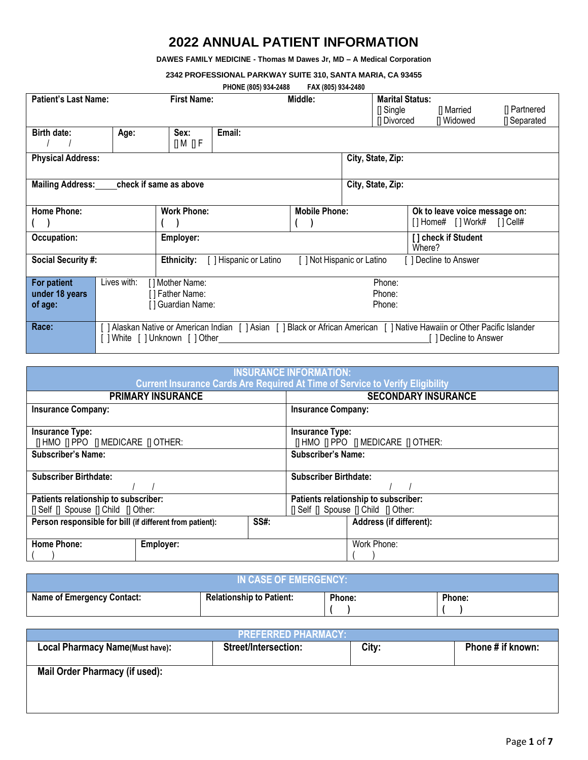## **2022 ANNUAL PATIENT INFORMATION**

**DAWES FAMILY MEDICINE - Thomas M Dawes Jr, MD – A Medical Corporation**

**2342 PROFESSIONAL PARKWAY SUITE 310, SANTA MARIA, CA 93455**

|  |  | PHONE (805) 934-2488 | FAX (805) 934-2480 |  |
|--|--|----------------------|--------------------|--|
|--|--|----------------------|--------------------|--|

|                             |                 |                           | 111011L (000) 001 L 100                                                                                                  | 1701100010012100           |  |                        |        |                               |              |
|-----------------------------|-----------------|---------------------------|--------------------------------------------------------------------------------------------------------------------------|----------------------------|--|------------------------|--------|-------------------------------|--------------|
| <b>Patient's Last Name:</b> |                 | <b>First Name:</b>        |                                                                                                                          | Middle:                    |  | <b>Marital Status:</b> |        |                               |              |
|                             |                 |                           |                                                                                                                          |                            |  | $\Box$ Single          |        | [] Married                    | [] Partnered |
|                             |                 |                           |                                                                                                                          |                            |  | [] Divorced            |        | [] Widowed                    | [] Separated |
|                             |                 |                           |                                                                                                                          |                            |  |                        |        |                               |              |
| <b>Birth date:</b>          | Age:            | Sex:                      | Email:                                                                                                                   |                            |  |                        |        |                               |              |
|                             |                 | [] M [] F                 |                                                                                                                          |                            |  |                        |        |                               |              |
| <b>Physical Address:</b>    |                 |                           |                                                                                                                          |                            |  | City, State, Zip:      |        |                               |              |
|                             |                 |                           |                                                                                                                          |                            |  |                        |        |                               |              |
|                             |                 |                           |                                                                                                                          |                            |  |                        |        |                               |              |
| <b>Mailing Address:</b>     |                 | check if same as above    |                                                                                                                          |                            |  | City, State, Zip:      |        |                               |              |
|                             |                 |                           |                                                                                                                          |                            |  |                        |        |                               |              |
| <b>Home Phone:</b>          |                 | <b>Work Phone:</b>        |                                                                                                                          | <b>Mobile Phone:</b>       |  |                        |        | Ok to leave voice message on: |              |
|                             |                 |                           |                                                                                                                          |                            |  |                        |        | [] Home# [] Work#             | [ ] Cell#    |
|                             |                 |                           |                                                                                                                          |                            |  |                        |        |                               |              |
| Occupation:                 |                 | Employer:                 |                                                                                                                          |                            |  |                        |        | [] check if Student           |              |
|                             |                 |                           |                                                                                                                          |                            |  |                        | Where? |                               |              |
| <b>Social Security #:</b>   |                 | <b>Ethnicity:</b>         | Hispanic or Latino                                                                                                       | [ ] Not Hispanic or Latino |  |                        |        | Decline to Answer             |              |
|                             |                 |                           |                                                                                                                          |                            |  |                        |        |                               |              |
| For patient                 | Lives with:     | [] Mother Name:           |                                                                                                                          |                            |  | Phone:                 |        |                               |              |
| under 18 years              | [] Father Name: |                           | Phone:                                                                                                                   |                            |  |                        |        |                               |              |
|                             |                 |                           |                                                                                                                          |                            |  |                        |        |                               |              |
| of age:                     |                 | [] Guardian Name:         |                                                                                                                          |                            |  | Phone:                 |        |                               |              |
|                             |                 |                           |                                                                                                                          |                            |  |                        |        |                               |              |
| Race:                       |                 |                           | ] Alaskan Native or American Indian [ ] Asian [ ] Black or African American [ ] Native Hawaiin or Other Pacific Islander |                            |  |                        |        |                               |              |
|                             |                 | White [] Unknown [] Other |                                                                                                                          |                            |  |                        |        | ] Decline to Answer           |              |
|                             |                 |                           |                                                                                                                          |                            |  |                        |        |                               |              |

| <b>INSURANCE INFORMATION:</b><br><b>Current Insurance Cards Are Required At Time of Service to Verify Eligibility</b> |             |                                                      |  |  |  |  |  |  |
|-----------------------------------------------------------------------------------------------------------------------|-------------|------------------------------------------------------|--|--|--|--|--|--|
| <b>PRIMARY INSURANCE</b>                                                                                              |             | <b>SECONDARY INSURANCE</b>                           |  |  |  |  |  |  |
| <b>Insurance Company:</b>                                                                                             |             | <b>Insurance Company:</b>                            |  |  |  |  |  |  |
| <b>Insurance Type:</b>                                                                                                |             | <b>Insurance Type:</b>                               |  |  |  |  |  |  |
| <b>IT HMO IT PPO IT MEDICARE IT OTHER:</b>                                                                            |             | <b>[I HMO II PPO II MEDICARE II OTHER:</b>           |  |  |  |  |  |  |
| <b>Subscriber's Name:</b>                                                                                             |             | <b>Subscriber's Name:</b>                            |  |  |  |  |  |  |
| <b>Subscriber Birthdate:</b>                                                                                          |             | <b>Subscriber Birthdate:</b>                         |  |  |  |  |  |  |
| Patients relationship to subscriber:                                                                                  |             | Patients relationship to subscriber:                 |  |  |  |  |  |  |
| [] Self [] Spouse [] Child [] Other:                                                                                  |             | $\Box$ Self $\Box$ Spouse $\Box$ Child $\Box$ Other: |  |  |  |  |  |  |
| Person responsible for bill (if different from patient):                                                              | <b>SS#:</b> | Address (if different):                              |  |  |  |  |  |  |
| <b>Home Phone:</b><br>Employer:                                                                                       |             | Work Phone:                                          |  |  |  |  |  |  |

| IN CASE OF EMERGENCY:             |                                 |        |        |  |  |  |  |  |  |
|-----------------------------------|---------------------------------|--------|--------|--|--|--|--|--|--|
| <b>Name of Emergency Contact:</b> | <b>Relationship to Patient:</b> | Phone: | Phone: |  |  |  |  |  |  |

| PREFERRED PHARMACY:                    |                             |       |                   |  |  |  |  |  |
|----------------------------------------|-----------------------------|-------|-------------------|--|--|--|--|--|
| <b>Local Pharmacy Name(Must have):</b> | <b>Street/Intersection:</b> | City: | Phone # if known: |  |  |  |  |  |
|                                        |                             |       |                   |  |  |  |  |  |
| <b>Mail Order Pharmacy (if used):</b>  |                             |       |                   |  |  |  |  |  |
|                                        |                             |       |                   |  |  |  |  |  |
|                                        |                             |       |                   |  |  |  |  |  |
|                                        |                             |       |                   |  |  |  |  |  |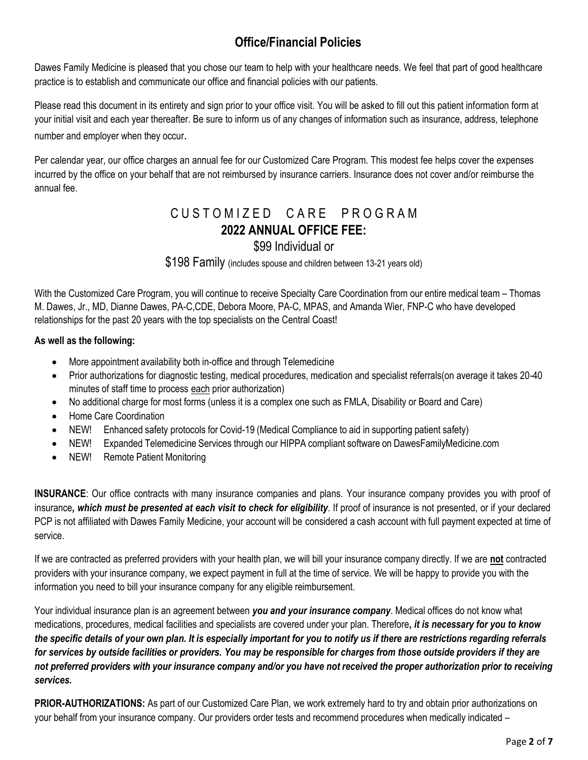# **Office/Financial Policies**

Dawes Family Medicine is pleased that you chose our team to help with your healthcare needs. We feel that part of good healthcare practice is to establish and communicate our office and financial policies with our patients.

Please read this document in its entirety and sign prior to your office visit. You will be asked to fill out this patient information form at your initial visit and each year thereafter. Be sure to inform us of any changes of information such as insurance, address, telephone number and employer when they occur.

Per calendar year, our office charges an annual fee for our Customized Care Program. This modest fee helps cover the expenses incurred by the office on your behalf that are not reimbursed by insurance carriers. Insurance does not cover and/or reimburse the annual fee.

# CUSTOMIZED CARE PROGRAM **2022 ANNUAL OFFICE FEE:**

### \$99 Individual or

\$198 Family (includes spouse and children between 13-21 years old)

With the Customized Care Program, you will continue to receive Specialty Care Coordination from our entire medical team – Thomas M. Dawes, Jr., MD, Dianne Dawes, PA-C,CDE, Debora Moore, PA-C, MPAS, and Amanda Wier, FNP-C who have developed relationships for the past 20 years with the top specialists on the Central Coast!

#### **As well as the following:**

- More appointment availability both in-office and through Telemedicine
- Prior authorizations for diagnostic testing, medical procedures, medication and specialist referrals(on average it takes 20-40 minutes of staff time to process each prior authorization)
- No additional charge for most forms (unless it is a complex one such as FMLA, Disability or Board and Care)
- Home Care Coordination
- NEW! Enhanced safety protocols for Covid-19 (Medical Compliance to aid in supporting patient safety)
- NEW! Expanded Telemedicine Services through our HIPPA compliant software on DawesFamilyMedicine.com
- NEW! Remote Patient Monitoring

**INSURANCE**: Our office contracts with many insurance companies and plans. Your insurance company provides you with proof of insurance*, which must be presented at each visit to check for eligibility*. If proof of insurance is not presented, or if your declared PCP is not affiliated with Dawes Family Medicine, your account will be considered a cash account with full payment expected at time of service.

If we are contracted as preferred providers with your health plan, we will bill your insurance company directly. If we are **not** contracted providers with your insurance company, we expect payment in full at the time of service. We will be happy to provide you with the information you need to bill your insurance company for any eligible reimbursement.

Your individual insurance plan is an agreement between *you and your insurance company*. Medical offices do not know what medications, procedures, medical facilities and specialists are covered under your plan. Therefore**,** *it is necessary for you to know the specific details of your own plan. It is especially important for you to notify us if there are restrictions regarding referrals for services by outside facilities or providers. You may be responsible for charges from those outside providers if they are not preferred providers with your insurance company and/or you have not received the proper authorization prior to receiving services.*

**PRIOR-AUTHORIZATIONS:** As part of our Customized Care Plan, we work extremely hard to try and obtain prior authorizations on your behalf from your insurance company. Our providers order tests and recommend procedures when medically indicated –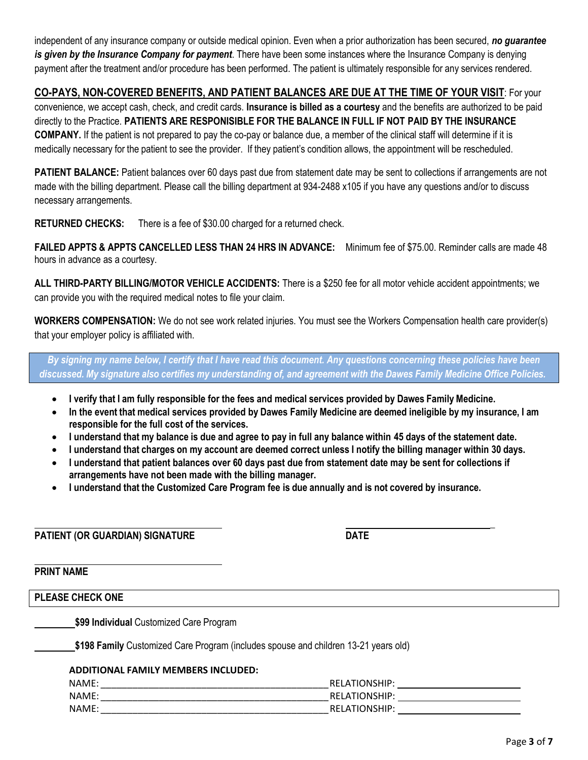independent of any insurance company or outside medical opinion. Even when a prior authorization has been secured, *no guarantee is given by the Insurance Company for payment*. There have been some instances where the Insurance Company is denying payment after the treatment and/or procedure has been performed. The patient is ultimately responsible for any services rendered.

### **CO-PAYS, NON-COVERED BENEFITS, AND PATIENT BALANCES ARE DUE AT THE TIME OF YOUR VISIT**: For your

convenience, we accept cash, check, and credit cards. **Insurance is billed as a courtesy** and the benefits are authorized to be paid directly to the Practice. **PATIENTS ARE RESPONISIBLE FOR THE BALANCE IN FULL IF NOT PAID BY THE INSURANCE COMPANY.** If the patient is not prepared to pay the co-pay or balance due, a member of the clinical staff will determine if it is medically necessary for the patient to see the provider. If they patient's condition allows, the appointment will be rescheduled.

**PATIENT BALANCE:** Patient balances over 60 days past due from statement date may be sent to collections if arrangements are not made with the billing department. Please call the billing department at 934-2488 x105 if you have any questions and/or to discuss necessary arrangements.

**RETURNED CHECKS:** There is a fee of \$30.00 charged for a returned check.

**FAILED APPTS & APPTS CANCELLED LESS THAN 24 HRS IN ADVANCE:** Minimum fee of \$75.00. Reminder calls are made 48 hours in advance as a courtesy.

**ALL THIRD-PARTY BILLING/MOTOR VEHICLE ACCIDENTS:** There is a \$250 fee for all motor vehicle accident appointments; we can provide you with the required medical notes to file your claim.

**WORKERS COMPENSATION:** We do not see work related injuries. You must see the Workers Compensation health care provider(s) that your employer policy is affiliated with.

*By signing my name below, I certify that I have read this document. Any questions concerning these policies have been* discussed. My signature also certifies my understanding of, and agreement with the Dawes Family Medicine Office Policies.

- **I verify that I am fully responsible for the fees and medical services provided by Dawes Family Medicine.**
- In the event that medical services provided by Dawes Family Medicine are deemed ineligible by my insurance, I am **responsible for the full cost of the services.**
- I understand that my balance is due and agree to pay in full any balance within 45 days of the statement date.
- **I understand that charges on my account are deemed correct unless I notify the billing manager within 30 days.**
- **I understand that patient balances over 60 days past due from statement date may be sent for collections if arrangements have not been made with the billing manager.**
- **I understand that the Customized Care Program fee is due annually and is not covered by insurance.**

**PATIENT (OR GUARDIAN) SIGNATURE DATE**

**PRINT NAME**

**PLEASE CHECK ONE**

**\$99 Individual** Customized Care Program

**\$198 Family** Customized Care Program (includes spouse and children 13-21 years old)

#### **ADDITIONAL FAMILY MEMBERS INCLUDED:**

| NAME:       | REI<br>А                   |
|-------------|----------------------------|
| <b>NAME</b> | <b>ONSHIP</b><br>REL<br>ΔT |
| NAME.       | ∘חור>ו∧ר<br>RFI<br>ΔT      |

**\_**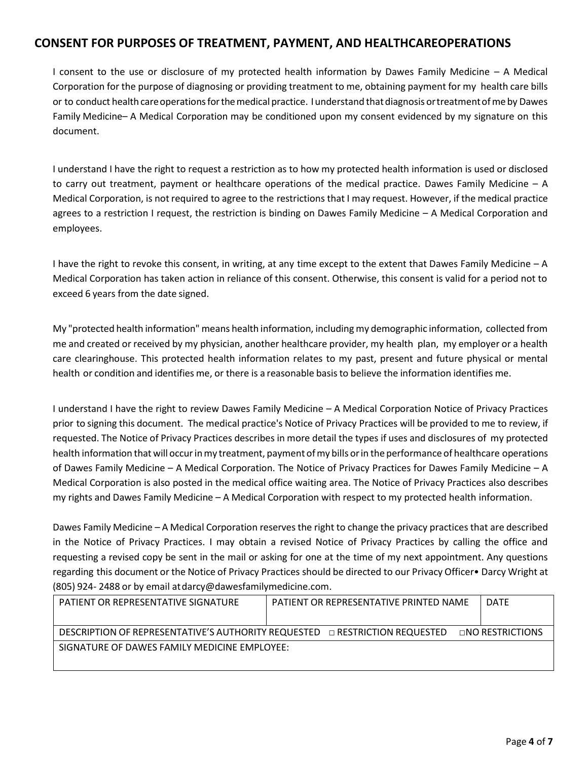### **CONSENT FOR PURPOSES OF TREATMENT, PAYMENT, AND HEALTHCAREOPERATIONS**

I consent to the use or disclosure of my protected health information by Dawes Family Medicine – A Medical Corporation for the purpose of diagnosing or providing treatment to me, obtaining payment for my health care bills or to conduct health care operations for the medical practice. I understand that diagnosis or treatment of me by Dawes Family Medicine– A Medical Corporation may be conditioned upon my consent evidenced by my signature on this document.

I understand I have the right to request a restriction as to how my protected health information is used or disclosed to carry out treatment, payment or healthcare operations of the medical practice. Dawes Family Medicine – A Medical Corporation, is not required to agree to the restrictions that I may request. However, if the medical practice agrees to a restriction I request, the restriction is binding on Dawes Family Medicine – A Medical Corporation and employees.

I have the right to revoke this consent, in writing, at any time except to the extent that Dawes Family Medicine – A Medical Corporation has taken action in reliance of this consent. Otherwise, this consent is valid for a period not to exceed 6 years from the date signed.

My "protected health information" means health information, including my demographic information, collected from me and created or received by my physician, another healthcare provider, my health plan, my employer or a health care clearinghouse. This protected health information relates to my past, present and future physical or mental health or condition and identifies me, or there is a reasonable basisto believe the information identifies me.

I understand I have the right to review Dawes Family Medicine – A Medical Corporation Notice of Privacy Practices prior to signing this document. The medical practice's Notice of Privacy Practices will be provided to me to review, if requested. The Notice of Privacy Practices describes in more detail the types if uses and disclosures of my protected health information that will occur in my treatment, payment of my bills or in the performance of healthcare operations of Dawes Family Medicine – A Medical Corporation. The Notice of Privacy Practices for Dawes Family Medicine – A Medical Corporation is also posted in the medical office waiting area. The Notice of Privacy Practices also describes my rights and Dawes Family Medicine – A Medical Corporation with respect to my protected health information.

Dawes Family Medicine – A Medical Corporation reserves the right to change the privacy practices that are described in the Notice of Privacy Practices. I may obtain a revised Notice of Privacy Practices by calling the office and requesting a revised copy be sent in the mail or asking for one at the time of my next appointment. Any questions regarding this document or the Notice of Privacy Practices should be directed to our Privacy Officer• Darcy Wright at (805) 924- 2488 or by email a[tdarcy@dawesfamilymedicine.com.](mailto:darcy@dawesfamilymedicine.com)

| PATIENT OR REPRESENTATIVE SIGNATURE                                                | PATIENT OR REPRESENTATIVE PRINTED NAME | <b>DATE</b>            |
|------------------------------------------------------------------------------------|----------------------------------------|------------------------|
|                                                                                    |                                        |                        |
| <b>DESCRIPTION OF REPRESENTATIVE'S AUTHORITY REQUESTED □ RESTRICTION REQUESTED</b> |                                        | $\Box$ NO RESTRICTIONS |
| SIGNATURE OF DAWES FAMILY MEDICINE EMPLOYEE:                                       |                                        |                        |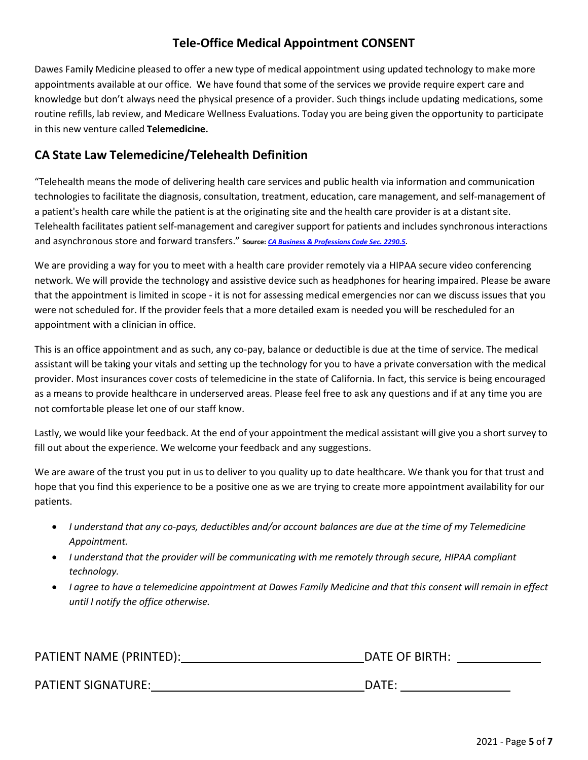## **Tele-Office Medical Appointment CONSENT**

Dawes Family Medicine pleased to offer a new type of medical appointment using updated technology to make more appointments available at our office. We have found that some of the services we provide require expert care and knowledge but don't always need the physical presence of a provider. Such things include updating medications, some routine refills, lab review, and Medicare Wellness Evaluations. Today you are being given the opportunity to participate in this new venture called **Telemedicine.**

## **CA State Law Telemedicine/Telehealth Definition**

"Telehealth means the mode of delivering health care services and public health via information and communication technologies to facilitate the diagnosis, consultation, treatment, education, care management, and self-management of a patient's health care while the patient is at the originating site and the health care provider is at a distant site. Telehealth facilitates patient self-management and caregiver support for patients and includes synchronous interactions and asynchronous store and forward transfers." **Source:** *CA Business & [Professions](https://leginfo.legislature.ca.gov/faces/codes_displayText.xhtml?lawCode=BPC&division=2.&title&part&chapter=5.&article=12) Code Sec. 2290.5***.**

We are providing a way for you to meet with a health care provider remotely via a HIPAA secure video conferencing network. We will provide the technology and assistive device such as headphones for hearing impaired. Please be aware that the appointment is limited in scope - it is not for assessing medical emergencies nor can we discuss issues that you were not scheduled for. If the provider feels that a more detailed exam is needed you will be rescheduled for an appointment with a clinician in office.

This is an office appointment and as such, any co-pay, balance or deductible is due at the time of service. The medical assistant will be taking your vitals and setting up the technology for you to have a private conversation with the medical provider. Most insurances cover costs of telemedicine in the state of California. In fact, this service is being encouraged as a means to provide healthcare in underserved areas. Please feel free to ask any questions and if at any time you are not comfortable please let one of our staff know.

Lastly, we would like your feedback. At the end of your appointment the medical assistant will give you a short survey to fill out about the experience. We welcome your feedback and any suggestions.

We are aware of the trust you put in us to deliver to you quality up to date healthcare. We thank you for that trust and hope that you find this experience to be a positive one as we are trying to create more appointment availability for our patients.

- *I understand that any co-pays, deductibles and/or account balances are due at the time of my Telemedicine Appointment.*
- *I understand that the provider will be communicating with me remotely through secure, HIPAA compliant technology.*
- I agree to have a telemedicine appointment at Dawes Family Medicine and that this consent will remain in effect *until I notify the office otherwise.*

| PATIENT NAME (PRINTED):   | DATE OF BIRTH:  |
|---------------------------|-----------------|
|                           |                 |
| <b>PATIENT SIGNATURE:</b> | $\mathsf{DATF}$ |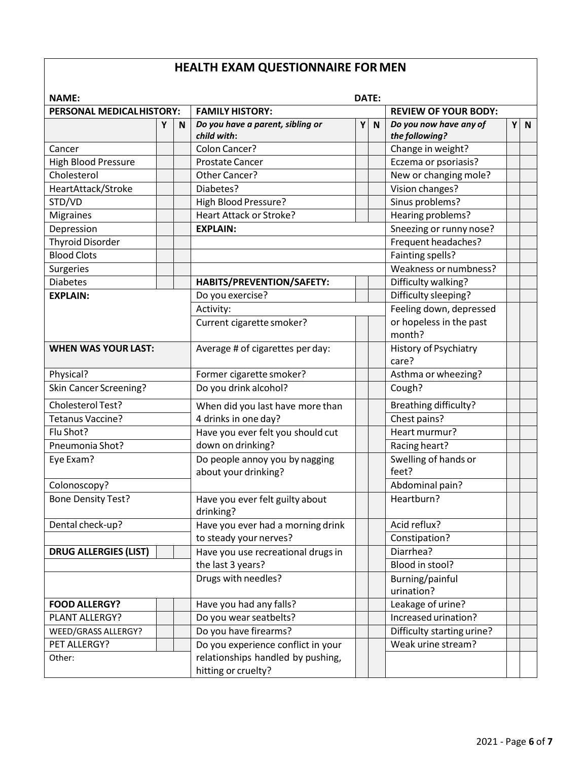# **HEALTH EXAM QUESTIONNAIRE FORMEN**

| <b>NAME:</b><br>DATE:        |   |   |                                                          |   |              |                                          |   |              |
|------------------------------|---|---|----------------------------------------------------------|---|--------------|------------------------------------------|---|--------------|
| PERSONAL MEDICALHISTORY:     |   |   | <b>FAMILY HISTORY:</b>                                   |   |              | <b>REVIEW OF YOUR BODY:</b>              |   |              |
|                              | Υ | N | Do you have a parent, sibling or<br>child with:          | Υ | $\mathbf N$  | Do you now have any of<br>the following? | Υ | $\mathsf{N}$ |
| Cancer                       |   |   | Colon Cancer?                                            |   |              | Change in weight?                        |   |              |
| <b>High Blood Pressure</b>   |   |   | <b>Prostate Cancer</b>                                   |   |              | Eczema or psoriasis?                     |   |              |
| Cholesterol                  |   |   | Other Cancer?                                            |   |              | New or changing mole?                    |   |              |
| HeartAttack/Stroke           |   |   | Diabetes?                                                |   |              | Vision changes?                          |   |              |
| STD/VD                       |   |   | High Blood Pressure?                                     |   |              | Sinus problems?                          |   |              |
| <b>Migraines</b>             |   |   | <b>Heart Attack or Stroke?</b>                           |   |              | Hearing problems?                        |   |              |
| Depression                   |   |   | <b>EXPLAIN:</b>                                          |   |              | Sneezing or runny nose?                  |   |              |
| <b>Thyroid Disorder</b>      |   |   |                                                          |   |              | Frequent headaches?                      |   |              |
| <b>Blood Clots</b>           |   |   |                                                          |   |              | Fainting spells?                         |   |              |
| Surgeries                    |   |   |                                                          |   |              | Weakness or numbness?                    |   |              |
| <b>Diabetes</b>              |   |   | HABITS/PREVENTION/SAFETY:                                |   |              | Difficulty walking?                      |   |              |
| <b>EXPLAIN:</b>              |   |   | Do you exercise?                                         |   |              | Difficulty sleeping?                     |   |              |
|                              |   |   | Activity:                                                |   |              | Feeling down, depressed                  |   |              |
|                              |   |   | Current cigarette smoker?                                |   |              | or hopeless in the past<br>month?        |   |              |
| <b>WHEN WAS YOUR LAST:</b>   |   |   | Average # of cigarettes per day:                         |   |              | History of Psychiatry<br>care?           |   |              |
| Physical?                    |   |   | Former cigarette smoker?                                 |   |              | Asthma or wheezing?                      |   |              |
| Skin Cancer Screening?       |   |   | Do you drink alcohol?                                    |   |              | Cough?                                   |   |              |
| Cholesterol Test?            |   |   | When did you last have more than                         |   |              | <b>Breathing difficulty?</b>             |   |              |
| Tetanus Vaccine?             |   |   | 4 drinks in one day?                                     |   |              | Chest pains?                             |   |              |
| Flu Shot?                    |   |   | Have you ever felt you should cut                        |   |              | Heart murmur?                            |   |              |
| Pneumonia Shot?              |   |   | down on drinking?                                        |   |              | Racing heart?                            |   |              |
| Eye Exam?                    |   |   | Do people annoy you by nagging<br>about your drinking?   |   |              | Swelling of hands or<br>feet?            |   |              |
| Colonoscopy?                 |   |   |                                                          |   |              | Abdominal pain?                          |   |              |
| <b>Bone Density Test?</b>    |   |   | Have you ever felt guilty about<br>drinking?             |   |              | Heartburn?                               |   |              |
| Dental check-up?             |   |   | Have you ever had a morning drink                        |   | Acid reflux? |                                          |   |              |
|                              |   |   | to steady your nerves?                                   |   |              | Constipation?                            |   |              |
| <b>DRUG ALLERGIES (LIST)</b> |   |   | Have you use recreational drugs in                       |   |              | Diarrhea?                                |   |              |
|                              |   |   | the last 3 years?                                        |   |              | Blood in stool?                          |   |              |
|                              |   |   | Drugs with needles?                                      |   |              | Burning/painful<br>urination?            |   |              |
| <b>FOOD ALLERGY?</b>         |   |   | Have you had any falls?                                  |   |              | Leakage of urine?                        |   |              |
| PLANT ALLERGY?               |   |   | Do you wear seatbelts?                                   |   |              | Increased urination?                     |   |              |
| WEED/GRASS ALLERGY?          |   |   | Do you have firearms?                                    |   |              | Difficulty starting urine?               |   |              |
| PET ALLERGY?                 |   |   | Do you experience conflict in your                       |   |              | Weak urine stream?                       |   |              |
| Other:                       |   |   | relationships handled by pushing,<br>hitting or cruelty? |   |              |                                          |   |              |